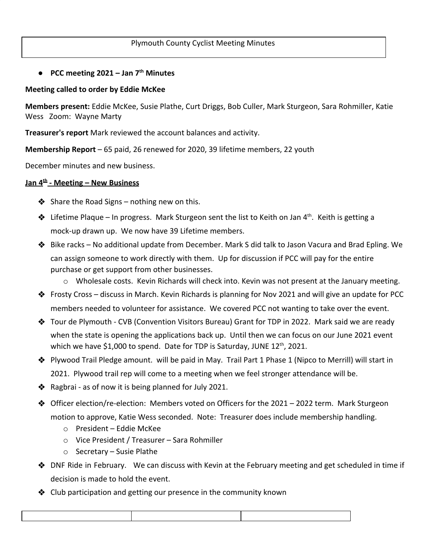## **● PCC meeting 2021 – Jan 7th Minutes**

## **Meeting called to order by Eddie McKee**

**Members present:** Eddie McKee, Susie Plathe, Curt Driggs, Bob Culler, Mark Sturgeon, Sara Rohmiller, Katie Wess Zoom: Wayne Marty

**Treasurer's report** Mark reviewed the account balances and activity.

**Membership Report** – 65 paid, 26 renewed for 2020, 39 lifetime members, 22 youth

December minutes and new business.

## **Jan 4th - Meeting – New Business**

- $\triangle$  Share the Road Signs nothing new on this.
- $\clubsuit$  Lifetime Plaque In progress. Mark Sturgeon sent the list to Keith on Jan 4<sup>th</sup>. Keith is getting a mock-up drawn up. We now have 39 Lifetime members.
- ❖ Bike racks No additional update from December. Mark S did talk to Jason Vacura and Brad Epling. We can assign someone to work directly with them. Up for discussion if PCC will pay for the entire purchase or get support from other businesses.
	- $\circ$  Wholesale costs. Kevin Richards will check into. Kevin was not present at the January meeting.
- ❖ Frosty Cross discuss in March. Kevin Richards is planning for Nov 2021 and will give an update for PCC members needed to volunteer for assistance. We covered PCC not wanting to take over the event.
- ❖ Tour de Plymouth CVB (Convention Visitors Bureau) Grant for TDP in 2022. Mark said we are ready when the state is opening the applications back up. Until then we can focus on our June 2021 event which we have \$1,000 to spend. Date for TDP is Saturday, JUNE  $12^{th}$ , 2021.
- ❖ Plywood Trail Pledge amount. will be paid in May. Trail Part 1 Phase 1 (Nipco to Merrill) will start in 2021. Plywood trail rep will come to a meeting when we feel stronger attendance will be.
- $\clubsuit$  Ragbrai as of now it is being planned for July 2021.
- ❖ Officer election/re-election: Members voted on Officers for the 2021 2022 term. Mark Sturgeon motion to approve, Katie Wess seconded. Note: Treasurer does include membership handling.
	- o President Eddie McKee
	- o Vice President / Treasurer Sara Rohmiller
	- o Secretary Susie Plathe
- ❖ DNF Ride in February. We can discuss with Kevin at the February meeting and get scheduled in time if decision is made to hold the event.
- ❖ Club participation and getting our presence in the community known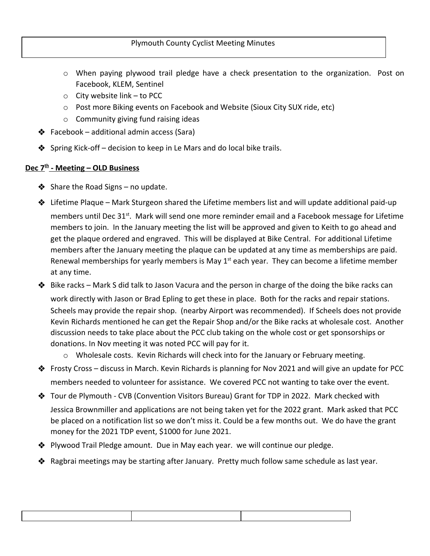- o When paying plywood trail pledge have a check presentation to the organization. Post on Facebook, KLEM, Sentinel
- $\circ$  City website link to PCC
- o Post more Biking events on Facebook and Website (Sioux City SUX ride, etc)
- o Community giving fund raising ideas
- ❖ Facebook additional admin access (Sara)
- $\triangle$  Spring Kick-off decision to keep in Le Mars and do local bike trails.

## **Dec 7th - Meeting – OLD Business**

- $\triangle$  Share the Road Signs no update.
- ❖ Lifetime Plaque Mark Sturgeon shared the Lifetime members list and will update additional paid-up members until Dec 31<sup>st</sup>. Mark will send one more reminder email and a Facebook message for Lifetime members to join. In the January meeting the list will be approved and given to Keith to go ahead and get the plaque ordered and engraved. This will be displayed at Bike Central. For additional Lifetime members after the January meeting the plaque can be updated at any time as memberships are paid. Renewal memberships for yearly members is May  $1<sup>st</sup>$  each year. They can become a lifetime member at any time.
- ❖ Bike racks Mark S did talk to Jason Vacura and the person in charge of the doing the bike racks can work directly with Jason or Brad Epling to get these in place. Both for the racks and repair stations. Scheels may provide the repair shop. (nearby Airport was recommended). If Scheels does not provide Kevin Richards mentioned he can get the Repair Shop and/or the Bike racks at wholesale cost. Another discussion needs to take place about the PCC club taking on the whole cost or get sponsorships or donations. In Nov meeting it was noted PCC will pay for it.
	- o Wholesale costs. Kevin Richards will check into for the January or February meeting.
- ❖ Frosty Cross discuss in March. Kevin Richards is planning for Nov 2021 and will give an update for PCC members needed to volunteer for assistance. We covered PCC not wanting to take over the event.
- ❖ Tour de Plymouth CVB (Convention Visitors Bureau) Grant for TDP in 2022. Mark checked with Jessica Brownmiller and applications are not being taken yet for the 2022 grant. Mark asked that PCC be placed on a notification list so we don't miss it. Could be a few months out. We do have the grant money for the 2021 TDP event, \$1000 for June 2021.
- ❖ Plywood Trail Pledge amount. Due in May each year. we will continue our pledge.
- ❖ Ragbrai meetings may be starting after January. Pretty much follow same schedule as last year.